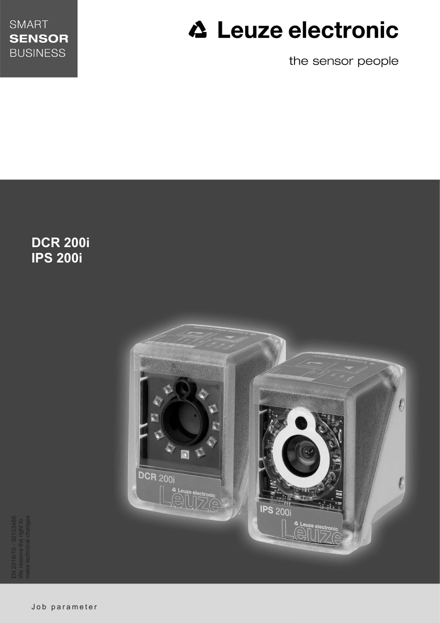

# **△ Leuze electronic**

the sensor people

**DCR 200i IPS 200i**



EN 2018/10 - 50133488 We reserve the right to make technical changes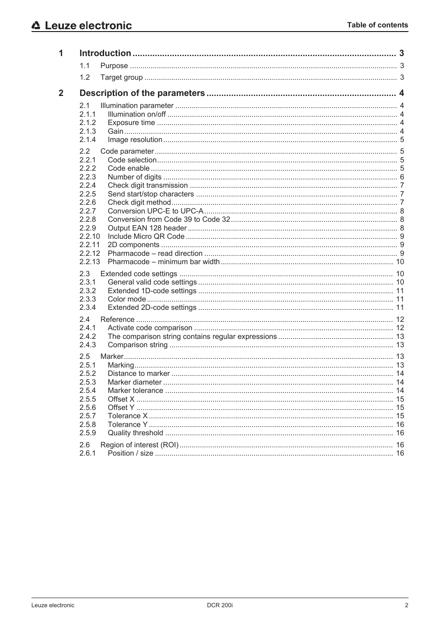| 1            |                                                                                                                              |  |
|--------------|------------------------------------------------------------------------------------------------------------------------------|--|
|              | 1.1                                                                                                                          |  |
|              | 1.2                                                                                                                          |  |
| $\mathbf{2}$ |                                                                                                                              |  |
|              | 2.1<br>2.1.1<br>2.1.2<br>2.1.3<br>2.1.4                                                                                      |  |
|              | 2.2<br>2.2.1<br>2.2.2<br>2.2.3<br>2.2.4<br>2.2.5<br>2.2.6<br>2.2.7<br>2.2.8<br>2.2.9<br>2.2.10<br>2.2.11<br>2.2.12<br>2.2.13 |  |
|              | 2.3<br>2.3.1<br>2.3.2<br>2.3.3<br>2.3.4                                                                                      |  |
|              | 2.4<br>2.4.1<br>2.4.2<br>2.4.3                                                                                               |  |
|              | 2.5<br>2.5.1<br>2.5.2<br>2.5.3<br>2.5.4<br>2.5.5<br>2.5.6<br>2.5.7<br>2.5.8<br>2.5.9                                         |  |
|              | 2.6<br>2.6.1                                                                                                                 |  |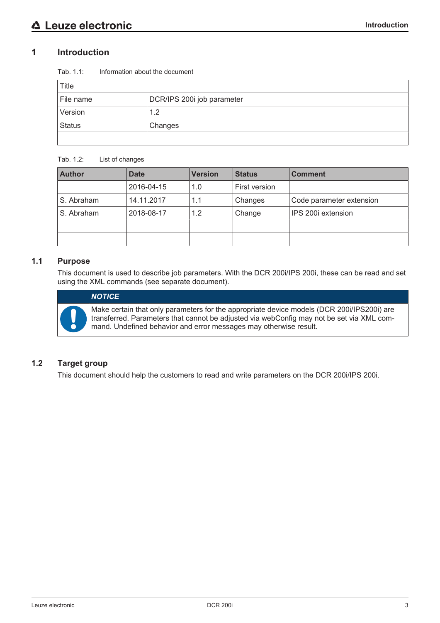# **1 Introduction**

| Tab. 1.1: | Information about the document |  |
|-----------|--------------------------------|--|
|           |                                |  |

| <b>Title</b>  |                            |
|---------------|----------------------------|
| File name     | DCR/IPS 200i job parameter |
| Version       | 1.2                        |
| <b>Status</b> | Changes                    |
|               |                            |

# Tab. 1.2: List of changes

| <b>Author</b> | <b>Date</b> | <b>Version</b> | <b>Status</b> | <b>Comment</b>           |
|---------------|-------------|----------------|---------------|--------------------------|
|               | 2016-04-15  | 1.0            | First version |                          |
| S. Abraham    | 14.11.2017  | 1.1            | Changes       | Code parameter extension |
| S. Abraham    | 2018-08-17  | 1.2            | Change        | IPS 200i extension       |
|               |             |                |               |                          |
|               |             |                |               |                          |

# **1.1 Purpose**

This document is used to describe job parameters. With the DCR 200i/IPS 200i, these can be read and set using the XML commands (see separate document).



Make certain that only parameters for the appropriate device models (DCR 200i/IPS200i) are transferred. Parameters that cannot be adjusted via webConfig may not be set via XML command. Undefined behavior and error messages may otherwise result.

# **1.2 Target group**

This document should help the customers to read and write parameters on the DCR 200i/IPS 200i.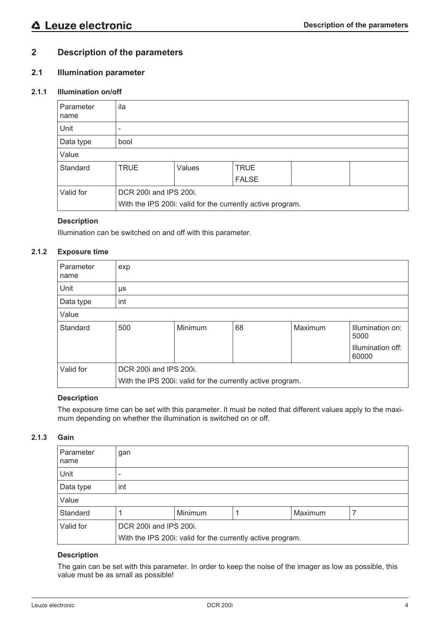# **2 Description of the parameters**

# **2.1 Illumination parameter**

# **2.1.1 Illumination on/off**

| Parameter<br>name | ila                                                                                  |        |                             |  |  |  |
|-------------------|--------------------------------------------------------------------------------------|--------|-----------------------------|--|--|--|
| Unit              | ٠                                                                                    |        |                             |  |  |  |
| Data type         | bool                                                                                 |        |                             |  |  |  |
| Value             |                                                                                      |        |                             |  |  |  |
| Standard          | <b>TRUE</b>                                                                          | Values | <b>TRUE</b><br><b>FALSE</b> |  |  |  |
| Valid for         | DCR 200i and IPS 200i.<br>With the IPS 200i: valid for the currently active program. |        |                             |  |  |  |

# **Description**

Illumination can be switched on and off with this parameter.

# **2.1.2 Exposure time**

| Parameter<br>name | exp                                                        |         |    |         |                            |  |
|-------------------|------------------------------------------------------------|---------|----|---------|----------------------------|--|
| Unit              | μs                                                         |         |    |         |                            |  |
| Data type         | int                                                        |         |    |         |                            |  |
| Value             |                                                            |         |    |         |                            |  |
| Standard          | 500                                                        | Minimum | 68 | Maximum | Illumination on:<br>5000   |  |
|                   |                                                            |         |    |         | Illumination off:<br>60000 |  |
| Valid for         | DCR 200i and IPS 200i.                                     |         |    |         |                            |  |
|                   | With the IPS 200i: valid for the currently active program. |         |    |         |                            |  |

# **Description**

The exposure time can be set with this parameter. It must be noted that different values apply to the maximum depending on whether the illumination is switched on or off.

# **2.1.3 Gain**

| Parameter<br>∣ name | gan                                                        |         |  |         |  |  |
|---------------------|------------------------------------------------------------|---------|--|---------|--|--|
| Unit                |                                                            |         |  |         |  |  |
| Data type           | int                                                        |         |  |         |  |  |
| Value               |                                                            |         |  |         |  |  |
| Standard            |                                                            | Minimum |  | Maximum |  |  |
| Valid for           | DCR 200i and IPS 200i.                                     |         |  |         |  |  |
|                     | With the IPS 200i: valid for the currently active program. |         |  |         |  |  |

# **Description**

The gain can be set with this parameter. In order to keep the noise of the imager as low as possible, this value must be as small as possible!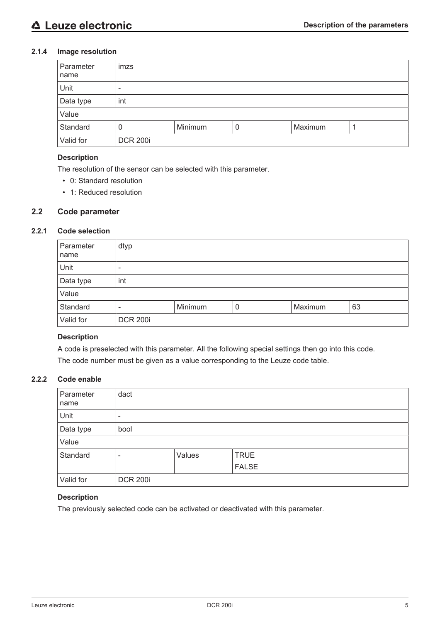# **2.1.4 Image resolution**

| Parameter<br>name | imzs                     |         |   |         |  |  |
|-------------------|--------------------------|---------|---|---------|--|--|
| Unit              | $\overline{\phantom{0}}$ |         |   |         |  |  |
| Data type         | int                      |         |   |         |  |  |
| Value             |                          |         |   |         |  |  |
| Standard          | 0                        | Minimum | 0 | Maximum |  |  |
| Valid for         | <b>DCR 200i</b>          |         |   |         |  |  |

# **Description**

The resolution of the sensor can be selected with this parameter.

- 0: Standard resolution
- 1: Reduced resolution

# **2.2 Code parameter**

# **2.2.1 Code selection**

| Parameter<br>name | dtyp                         |         |   |         |    |  |
|-------------------|------------------------------|---------|---|---------|----|--|
| Unit              | $\qquad \qquad \blacksquare$ |         |   |         |    |  |
| Data type         | int                          |         |   |         |    |  |
| Value             |                              |         |   |         |    |  |
| Standard          | $\qquad \qquad$              | Minimum | 0 | Maximum | 63 |  |
| Valid for         | <b>DCR 200i</b>              |         |   |         |    |  |

# **Description**

A code is preselected with this parameter. All the following special settings then go into this code. The code number must be given as a value corresponding to the Leuze code table.

# **2.2.2 Code enable**

| Parameter<br>name | dact                     |        |              |  |  |  |
|-------------------|--------------------------|--------|--------------|--|--|--|
| Unit              | $\overline{\phantom{0}}$ |        |              |  |  |  |
| Data type         | bool                     |        |              |  |  |  |
| Value             |                          |        |              |  |  |  |
| Standard          | $\overline{\phantom{0}}$ | Values | <b>TRUE</b>  |  |  |  |
|                   |                          |        | <b>FALSE</b> |  |  |  |
| Valid for         | <b>DCR 200i</b>          |        |              |  |  |  |

# **Description**

The previously selected code can be activated or deactivated with this parameter.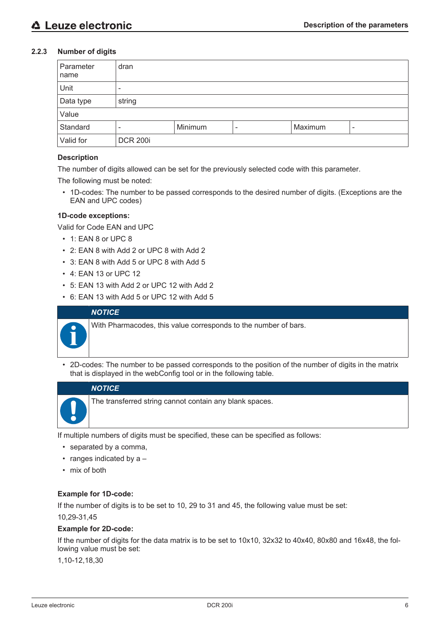# **2.2.3 Number of digits**

| Parameter<br>name | dran            |         |   |         |   |  |
|-------------------|-----------------|---------|---|---------|---|--|
| Unit              | $\qquad \qquad$ |         |   |         |   |  |
| Data type         | string          |         |   |         |   |  |
| Value             |                 |         |   |         |   |  |
| Standard          | -               | Minimum | ۰ | Maximum | - |  |
| Valid for         | <b>DCR 200i</b> |         |   |         |   |  |

# **Description**

The number of digits allowed can be set for the previously selected code with this parameter.

The following must be noted:

• 1D-codes: The number to be passed corresponds to the desired number of digits. (Exceptions are the EAN and UPC codes)

# **1D-code exceptions:**

Valid for Code EAN and UPC

- 1: EAN 8 or UPC 8
- 2: EAN 8 with Add 2 or UPC 8 with Add 2
- 3: EAN 8 with Add 5 or UPC 8 with Add 5
- 4: EAN 13 or UPC 12
- 5: EAN 13 with Add 2 or UPC 12 with Add 2
- 6: EAN 13 with Add 5 or UPC 12 with Add 5

# *NOTICE*

With Pharmacodes, this value corresponds to the number of bars.

• 2D-codes: The number to be passed corresponds to the position of the number of digits in the matrix that is displayed in the webConfig tool or in the following table.

# *NOTICE*

The transferred string cannot contain any blank spaces.

If multiple numbers of digits must be specified, these can be specified as follows:

- separated by a comma,
- ranges indicated by a -
- mix of both

#### **Example for 1D-code:**

If the number of digits is to be set to 10, 29 to 31 and 45, the following value must be set:

#### 10,29-31,45

#### **Example for 2D-code:**

If the number of digits for the data matrix is to be set to 10x10, 32x32 to 40x40, 80x80 and 16x48, the following value must be set:

1,10-12,18,30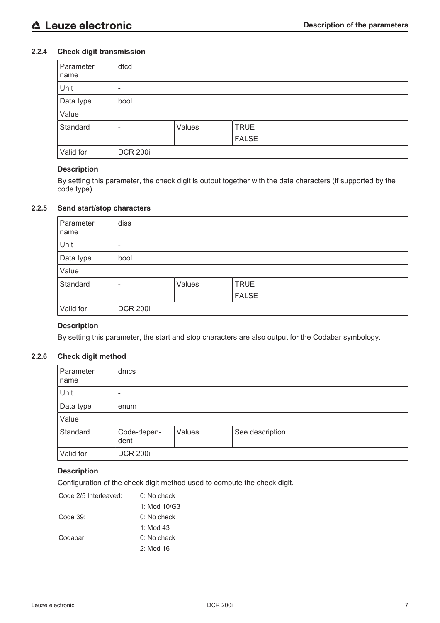# **2.2.4 Check digit transmission**

| Parameter<br>name | dtcd                     |        |              |  |  |  |
|-------------------|--------------------------|--------|--------------|--|--|--|
| Unit              | $\overline{\phantom{0}}$ |        |              |  |  |  |
| <b>Data type</b>  | bool                     |        |              |  |  |  |
| Value             |                          |        |              |  |  |  |
| Standard          | -                        | Values | <b>TRUE</b>  |  |  |  |
|                   |                          |        | <b>FALSE</b> |  |  |  |
| Valid for         | <b>DCR 200i</b>          |        |              |  |  |  |

# **Description**

By setting this parameter, the check digit is output together with the data characters (if supported by the code type).

# **2.2.5 Send start/stop characters**

| Parameter<br>name | diss                  |  |  |  |  |
|-------------------|-----------------------|--|--|--|--|
| Unit              | -                     |  |  |  |  |
| Data type         | bool                  |  |  |  |  |
| Value             |                       |  |  |  |  |
| Standard          | Values<br><b>TRUE</b> |  |  |  |  |
|                   | <b>FALSE</b>          |  |  |  |  |
| Valid for         | <b>DCR 200i</b>       |  |  |  |  |

#### **Description**

By setting this parameter, the start and stop characters are also output for the Codabar symbology.

# **2.2.6 Check digit method**

| Parameter<br>name | dmcs                                             |  |  |  |  |  |
|-------------------|--------------------------------------------------|--|--|--|--|--|
| Unit              | -                                                |  |  |  |  |  |
| Data type         | enum                                             |  |  |  |  |  |
| Value             |                                                  |  |  |  |  |  |
| Standard          | Code-depen-<br>Values<br>See description<br>dent |  |  |  |  |  |
| Valid for         | <b>DCR 200i</b>                                  |  |  |  |  |  |

# **Description**

Configuration of the check digit method used to compute the check digit.

| Code 2/5 Interleaved: | $0:$ No check  |
|-----------------------|----------------|
|                       | 1: Mod $10/G3$ |
| Code $39$ :           | $0:$ No check  |
|                       | 1: Mod 43      |
| Codabar:              | $0:$ No check  |
|                       | $2:$ Mod 16    |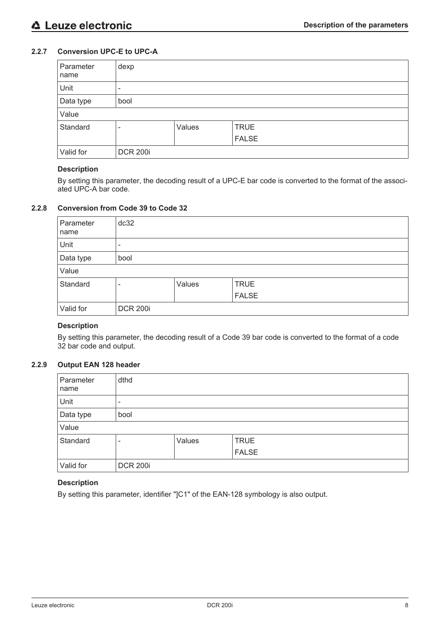# **2.2.7 Conversion UPC-E to UPC-A**

| Parameter<br>name | dexp                       |  |  |  |  |
|-------------------|----------------------------|--|--|--|--|
| Unit              | $\overline{\phantom{0}}$   |  |  |  |  |
| Data type         | bool                       |  |  |  |  |
| Value             |                            |  |  |  |  |
| Standard          | <b>TRUE</b><br>Values<br>- |  |  |  |  |
|                   | <b>FALSE</b>               |  |  |  |  |
| Valid for         | <b>DCR 200i</b>            |  |  |  |  |

#### **Description**

By setting this parameter, the decoding result of a UPC-E bar code is converted to the format of the associated UPC-A bar code.

# **2.2.8 Conversion from Code 39 to Code 32**

| Parameter<br>name | dc32                     |  |              |  |  |  |
|-------------------|--------------------------|--|--------------|--|--|--|
| Unit              | $\overline{\phantom{0}}$ |  |              |  |  |  |
| <b>Data type</b>  | bool                     |  |              |  |  |  |
| Value             |                          |  |              |  |  |  |
| Standard          | Values<br><b>TRUE</b>    |  |              |  |  |  |
|                   |                          |  | <b>FALSE</b> |  |  |  |
| Valid for         | <b>DCR 200i</b>          |  |              |  |  |  |

#### **Description**

By setting this parameter, the decoding result of a Code 39 bar code is converted to the format of a code 32 bar code and output.

#### **2.2.9 Output EAN 128 header**

| Parameter<br>name | dthd                     |        |              |  |
|-------------------|--------------------------|--------|--------------|--|
| Unit              | $\overline{\phantom{0}}$ |        |              |  |
| Data type         | bool                     |        |              |  |
| Value             |                          |        |              |  |
| Standard          | -                        | Values | <b>TRUE</b>  |  |
|                   |                          |        | <b>FALSE</b> |  |
| Valid for         | <b>DCR 200i</b>          |        |              |  |

# **Description**

By setting this parameter, identifier "]C1" of the EAN-128 symbology is also output.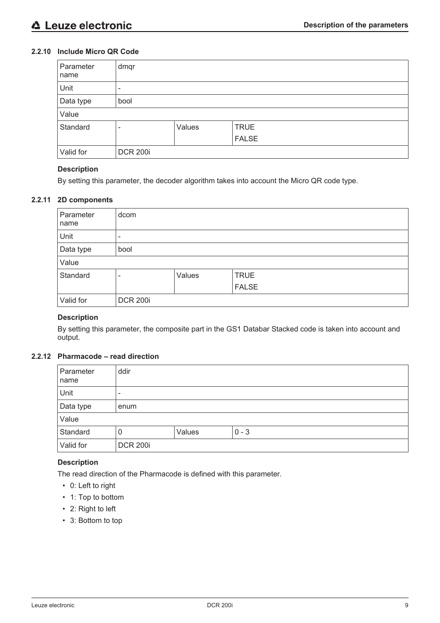# **2.2.10 Include Micro QR Code**

| Parameter<br>name | dmqr                     |        |              |  |  |
|-------------------|--------------------------|--------|--------------|--|--|
| Unit              | ۰                        |        |              |  |  |
| Data type         | bool                     |        |              |  |  |
| Value             |                          |        |              |  |  |
| Standard          | $\overline{\phantom{0}}$ | Values | <b>TRUE</b>  |  |  |
|                   |                          |        | <b>FALSE</b> |  |  |
| Valid for         | <b>DCR 200i</b>          |        |              |  |  |

# **Description**

By setting this parameter, the decoder algorithm takes into account the Micro QR code type.

# **2.2.11 2D components**

| Parameter<br>name | dcom                     |        |             |  |  |
|-------------------|--------------------------|--------|-------------|--|--|
| Unit              | $\overline{\phantom{0}}$ |        |             |  |  |
| Data type         | bool                     |        |             |  |  |
| Value             |                          |        |             |  |  |
| Standard          | -                        | Values | <b>TRUE</b> |  |  |
|                   | FALSE                    |        |             |  |  |
| Valid for         | <b>DCR 200i</b>          |        |             |  |  |

# **Description**

By setting this parameter, the composite part in the GS1 Databar Stacked code is taken into account and output.

# **2.2.12 Pharmacode – read direction**

| Parameter<br>name | ddir                     |  |  |  |  |  |
|-------------------|--------------------------|--|--|--|--|--|
| Unit              | $\overline{\phantom{0}}$ |  |  |  |  |  |
| Data type         | enum                     |  |  |  |  |  |
| Value             |                          |  |  |  |  |  |
| Standard          | Values<br>$0 - 3$<br>0   |  |  |  |  |  |
| Valid for         | <b>DCR 200i</b>          |  |  |  |  |  |

# **Description**

The read direction of the Pharmacode is defined with this parameter.

- 0: Left to right
- 1: Top to bottom
- 2: Right to left
- 3: Bottom to top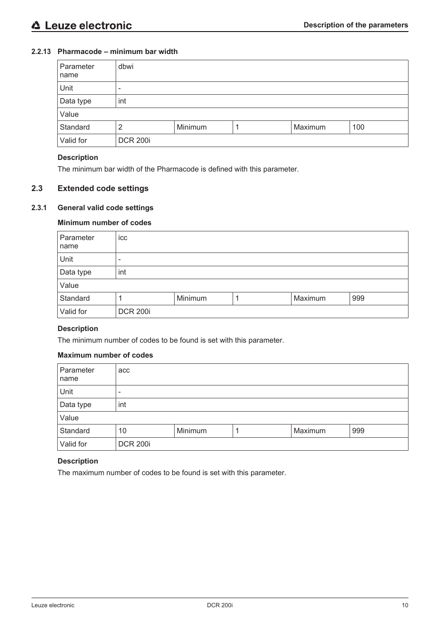# **2.2.13 Pharmacode – minimum bar width**

| Parameter<br>name | dbwi                           |  |  |  |  |  |
|-------------------|--------------------------------|--|--|--|--|--|
| Unit              | $\overline{\phantom{a}}$       |  |  |  |  |  |
| Data type         | int                            |  |  |  |  |  |
| Value             |                                |  |  |  |  |  |
| Standard          | Minimum<br>Maximum<br>100<br>2 |  |  |  |  |  |
| Valid for         | <b>DCR 200i</b>                |  |  |  |  |  |

#### **Description**

The minimum bar width of the Pharmacode is defined with this parameter.

# **2.3 Extended code settings**

# **2.3.1 General valid code settings**

# **Minimum number of codes**

| Parameter<br>name | icc                       |  |  |  |  |  |
|-------------------|---------------------------|--|--|--|--|--|
| Unit              |                           |  |  |  |  |  |
| Data type         | int                       |  |  |  |  |  |
| Value             |                           |  |  |  |  |  |
| Standard          | Maximum<br>Minimum<br>999 |  |  |  |  |  |
| Valid for         | <b>DCR 200i</b>           |  |  |  |  |  |

# **Description**

The minimum number of codes to be found is set with this parameter.

#### **Maximum number of codes**

| Parameter<br>name | acc                             |  |  |  |  |  |
|-------------------|---------------------------------|--|--|--|--|--|
| Unit              | $\overline{\phantom{0}}$        |  |  |  |  |  |
| Data type         | int                             |  |  |  |  |  |
| Value             |                                 |  |  |  |  |  |
| Standard          | Minimum<br>Maximum<br>999<br>10 |  |  |  |  |  |
| Valid for         | <b>DCR 200i</b>                 |  |  |  |  |  |

# **Description**

The maximum number of codes to be found is set with this parameter.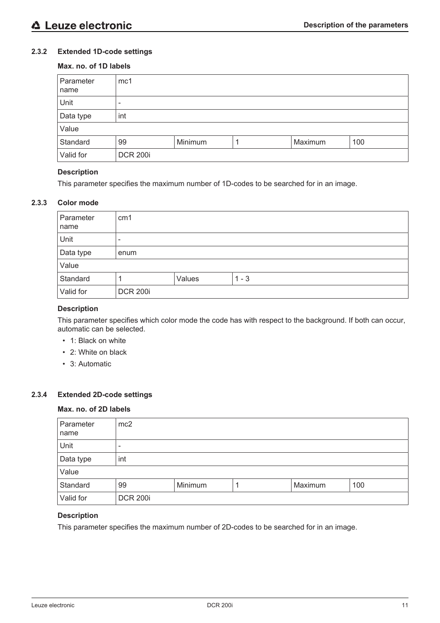# **2.3.2 Extended 1D-code settings**

# **Max. no. of 1D labels**

| Parameter<br>name | mc1                      |         |  |         |     |
|-------------------|--------------------------|---------|--|---------|-----|
| Unit              | $\overline{\phantom{0}}$ |         |  |         |     |
| Data type         | int                      |         |  |         |     |
| Value             |                          |         |  |         |     |
| Standard          | 99                       | Minimum |  | Maximum | 100 |
| Valid for         | <b>DCR 200i</b>          |         |  |         |     |

#### **Description**

This parameter specifies the maximum number of 1D-codes to be searched for in an image.

# **2.3.3 Color mode**

| Parameter<br>name | cm <sub>1</sub>          |        |         |  |
|-------------------|--------------------------|--------|---------|--|
| Unit              | $\overline{\phantom{0}}$ |        |         |  |
| Data type         | enum                     |        |         |  |
| Value             |                          |        |         |  |
| Standard          |                          | Values | $1 - 3$ |  |
| Valid for         | <b>DCR 200i</b>          |        |         |  |

#### **Description**

This parameter specifies which color mode the code has with respect to the background. If both can occur, automatic can be selected.

- 1: Black on white
- 2: White on black
- 3: Automatic

# **2.3.4 Extended 2D-code settings**

#### **Max. no. of 2D labels**

| Parameter<br>name | mc2             |         |  |         |     |
|-------------------|-----------------|---------|--|---------|-----|
| Unit              | $\qquad \qquad$ |         |  |         |     |
| Data type         | int             |         |  |         |     |
| Value             |                 |         |  |         |     |
| Standard          | 99              | Minimum |  | Maximum | 100 |
| Valid for         | <b>DCR 200i</b> |         |  |         |     |

# **Description**

This parameter specifies the maximum number of 2D-codes to be searched for in an image.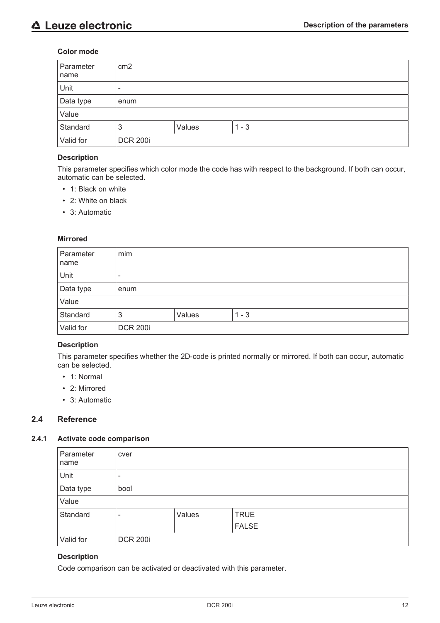#### **Color mode**

| Parameter<br>name | cm <sub>2</sub>          |        |         |  |
|-------------------|--------------------------|--------|---------|--|
| Unit              | $\overline{\phantom{0}}$ |        |         |  |
| Data type         | enum                     |        |         |  |
| Value             |                          |        |         |  |
| Standard          | 3                        | Values | $1 - 3$ |  |
| Valid for         | <b>DCR 200i</b>          |        |         |  |

### **Description**

This parameter specifies which color mode the code has with respect to the background. If both can occur, automatic can be selected.

- 1: Black on white
- 2: White on black
- 3: Automatic

#### **Mirrored**

| Parameter<br>name | mim             |        |         |  |
|-------------------|-----------------|--------|---------|--|
| Unit              | -               |        |         |  |
| Data type         | enum            |        |         |  |
| Value             |                 |        |         |  |
| Standard          | 3               | Values | $1 - 3$ |  |
| Valid for         | <b>DCR 200i</b> |        |         |  |

# **Description**

This parameter specifies whether the 2D-code is printed normally or mirrored. If both can occur, automatic can be selected.

- 1: Normal
- 2: Mirrored
- 3: Automatic

# **2.4 Reference**

#### **2.4.1 Activate code comparison**

| Parameter<br>name | cver                         |        |              |
|-------------------|------------------------------|--------|--------------|
| Unit              | $\qquad \qquad \blacksquare$ |        |              |
| Data type         | bool                         |        |              |
| Value             |                              |        |              |
| Standard          | -                            | Values | <b>TRUE</b>  |
|                   |                              |        | <b>FALSE</b> |
| Valid for         | <b>DCR 200i</b>              |        |              |

# **Description**

Code comparison can be activated or deactivated with this parameter.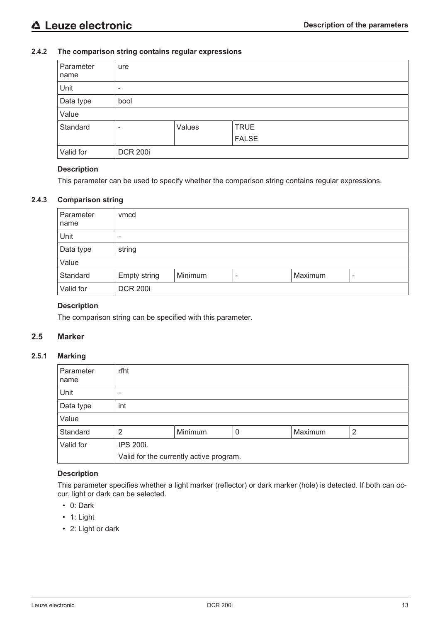# **2.4.2 The comparison string contains regular expressions**

| Parameter<br>name | ure                      |        |              |  |  |
|-------------------|--------------------------|--------|--------------|--|--|
| Unit              | $\overline{\phantom{0}}$ |        |              |  |  |
| Data type         | bool                     |        |              |  |  |
| Value             |                          |        |              |  |  |
| Standard          | -                        | Values | <b>TRUE</b>  |  |  |
|                   |                          |        | <b>FALSE</b> |  |  |
| Valid for         | <b>DCR 200i</b>          |        |              |  |  |

#### **Description**

This parameter can be used to specify whether the comparison string contains regular expressions.

# **2.4.3 Comparison string**

| Parameter<br>name | vmcd            |         |                          |         |  |
|-------------------|-----------------|---------|--------------------------|---------|--|
| Unit              | -               |         |                          |         |  |
| Data type         | string          |         |                          |         |  |
| Value             |                 |         |                          |         |  |
| Standard          | Empty string    | Minimum | $\overline{\phantom{0}}$ | Maximum |  |
| Valid for         | <b>DCR 200i</b> |         |                          |         |  |

# **Description**

The comparison string can be specified with this parameter.

# **2.5 Marker**

# **2.5.1 Marking**

| Parameter<br>name | rfht      |                                         |   |         |   |  |
|-------------------|-----------|-----------------------------------------|---|---------|---|--|
| Unit              | -         |                                         |   |         |   |  |
| Data type         | int       |                                         |   |         |   |  |
| Value             |           |                                         |   |         |   |  |
| Standard          | າ         | Minimum                                 | 0 | Maximum | 2 |  |
| Valid for         | IPS 200i. |                                         |   |         |   |  |
|                   |           | Valid for the currently active program. |   |         |   |  |

# **Description**

This parameter specifies whether a light marker (reflector) or dark marker (hole) is detected. If both can occur, light or dark can be selected.

- 0: Dark
- 1: Light
- 2: Light or dark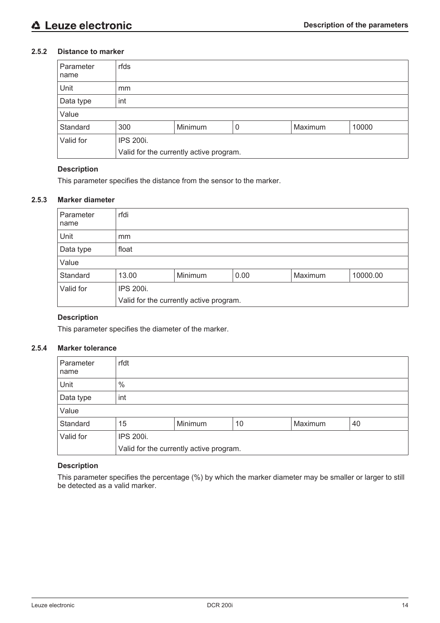# **2.5.2 Distance to marker**

| Parameter<br>name | rfds                                    |         |   |         |       |  |
|-------------------|-----------------------------------------|---------|---|---------|-------|--|
| Unit              | mm                                      |         |   |         |       |  |
| Data type         | int                                     |         |   |         |       |  |
| Value             |                                         |         |   |         |       |  |
| Standard          | 300                                     | Minimum | 0 | Maximum | 10000 |  |
| Valid for         | IPS 200i.                               |         |   |         |       |  |
|                   | Valid for the currently active program. |         |   |         |       |  |

#### **Description**

This parameter specifies the distance from the sensor to the marker.

# **2.5.3 Marker diameter**

| Parameter<br>name | rfdi      |                                         |      |         |          |  |
|-------------------|-----------|-----------------------------------------|------|---------|----------|--|
| Unit              | mm        |                                         |      |         |          |  |
| Data type         | float     |                                         |      |         |          |  |
| Value             |           |                                         |      |         |          |  |
| Standard          | 13.00     | Minimum                                 | 0.00 | Maximum | 10000.00 |  |
| Valid for         | IPS 200i. |                                         |      |         |          |  |
|                   |           | Valid for the currently active program. |      |         |          |  |

# **Description**

This parameter specifies the diameter of the marker.

# **2.5.4 Marker tolerance**

| Parameter<br>name | rfdt                                    |         |    |         |    |  |
|-------------------|-----------------------------------------|---------|----|---------|----|--|
| Unit              | $\frac{0}{0}$                           |         |    |         |    |  |
| Data type         | int                                     |         |    |         |    |  |
| Value             |                                         |         |    |         |    |  |
| Standard          | 15                                      | Minimum | 10 | Maximum | 40 |  |
| Valid for         | IPS 200i.                               |         |    |         |    |  |
|                   | Valid for the currently active program. |         |    |         |    |  |

# **Description**

This parameter specifies the percentage (%) by which the marker diameter may be smaller or larger to still be detected as a valid marker.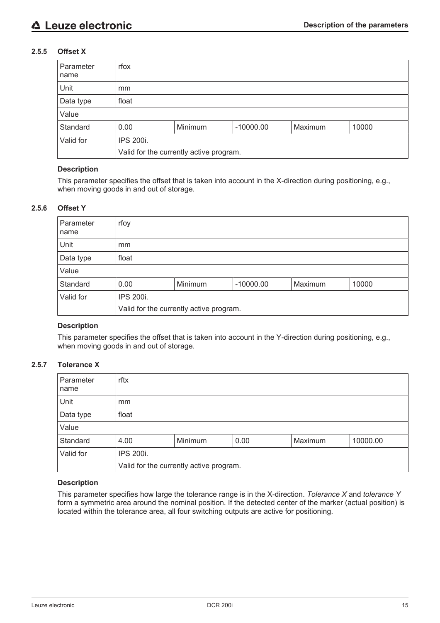# **2.5.5 Offset X**

| Parameter<br>name | rfox                                    |         |             |         |       |  |
|-------------------|-----------------------------------------|---------|-------------|---------|-------|--|
| Unit              | mm                                      |         |             |         |       |  |
| Data type         | float                                   |         |             |         |       |  |
| Value             |                                         |         |             |         |       |  |
| Standard          | 0.00                                    | Minimum | $-10000.00$ | Maximum | 10000 |  |
| Valid for         | IPS 200i.                               |         |             |         |       |  |
|                   | Valid for the currently active program. |         |             |         |       |  |

#### **Description**

This parameter specifies the offset that is taken into account in the X-direction during positioning, e.g., when moving goods in and out of storage.

#### **2.5.6 Offset Y**

| Parameter<br>  name | rfoy                                               |  |  |  |  |  |  |
|---------------------|----------------------------------------------------|--|--|--|--|--|--|
| Unit                | mm                                                 |  |  |  |  |  |  |
| Data type           | float                                              |  |  |  |  |  |  |
| Value               |                                                    |  |  |  |  |  |  |
| Standard            | Maximum<br>Minimum<br>10000<br>0.00<br>$-10000.00$ |  |  |  |  |  |  |
| Valid for           | IPS 200i.                                          |  |  |  |  |  |  |
|                     | Valid for the currently active program.            |  |  |  |  |  |  |

#### **Description**

This parameter specifies the offset that is taken into account in the Y-direction during positioning, e.g., when moving goods in and out of storage.

# **2.5.7 Tolerance X**

| Parameter<br>name | rftx                                           |  |  |  |  |  |
|-------------------|------------------------------------------------|--|--|--|--|--|
| Unit              | mm                                             |  |  |  |  |  |
| Data type         | float                                          |  |  |  |  |  |
| Value             |                                                |  |  |  |  |  |
| Standard          | Minimum<br>Maximum<br>0.00<br>4.00<br>10000.00 |  |  |  |  |  |
| Valid for         | IPS 200i.                                      |  |  |  |  |  |
|                   | Valid for the currently active program.        |  |  |  |  |  |

# **Description**

This parameter specifies how large the tolerance range is in the X-direction. *Tolerance X* and *tolerance Y* form a symmetric area around the nominal position. If the detected center of the marker (actual position) is located within the tolerance area, all four switching outputs are active for positioning.